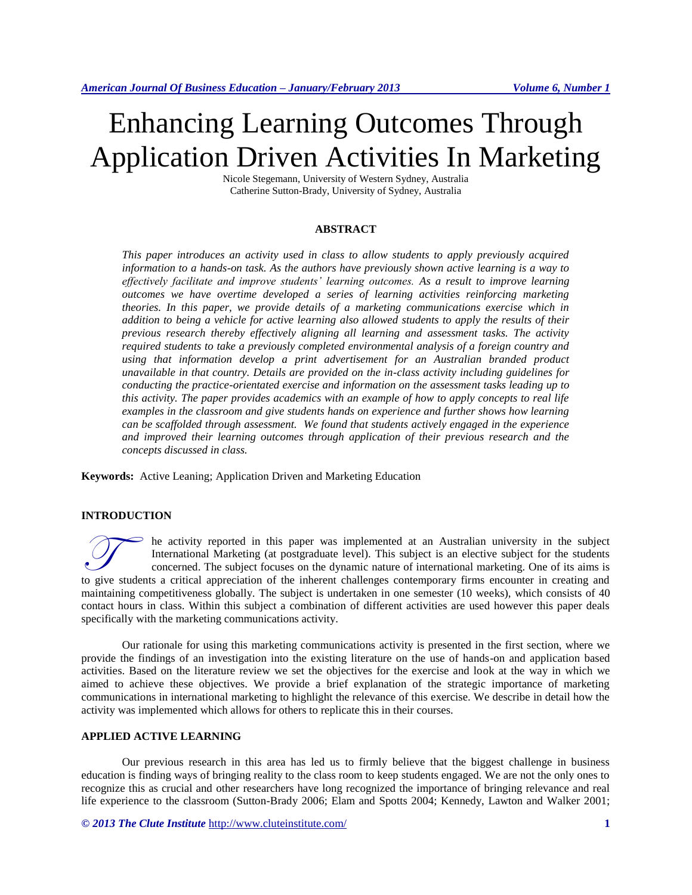# Enhancing Learning Outcomes Through Application Driven Activities In Marketing

Nicole Stegemann, University of Western Sydney, Australia Catherine Sutton-Brady, University of Sydney, Australia

#### **ABSTRACT**

*This paper introduces an activity used in class to allow students to apply previously acquired information to a hands-on task. As the authors have previously shown active learning is a way to effectively facilitate and improve students' learning outcomes. As a result to improve learning outcomes we have overtime developed a series of learning activities reinforcing marketing theories. In this paper, we provide details of a marketing communications exercise which in addition to being a vehicle for active learning also allowed students to apply the results of their previous research thereby effectively aligning all learning and assessment tasks. The activity required students to take a previously completed environmental analysis of a foreign country and using that information develop a print advertisement for an Australian branded product unavailable in that country. Details are provided on the in-class activity including guidelines for conducting the practice-orientated exercise and information on the assessment tasks leading up to this activity. The paper provides academics with an example of how to apply concepts to real life examples in the classroom and give students hands on experience and further shows how learning can be scaffolded through assessment. We found that students actively engaged in the experience and improved their learning outcomes through application of their previous research and the concepts discussed in class.*

**Keywords:** Active Leaning; Application Driven and Marketing Education

#### **INTRODUCTION**

he activity reported in this paper was implemented at an Australian university in the subject International Marketing (at postgraduate level). This subject is an elective subject for the students concerned. The subject focuses on the dynamic nature of international marketing. One of its aims is to give students a critical appreciation of the inherent challenges contemporary firms encounter in creating and to give students a critical appreciation of the inherent challenges contemporary firms encounter in creating maintaining competitiveness globally. The subject is undertaken in one semester (10 weeks), which consists of 40 contact hours in class. Within this subject a combination of different activities are used however this paper deals specifically with the marketing communications activity.

Our rationale for using this marketing communications activity is presented in the first section, where we provide the findings of an investigation into the existing literature on the use of hands-on and application based activities. Based on the literature review we set the objectives for the exercise and look at the way in which we aimed to achieve these objectives. We provide a brief explanation of the strategic importance of marketing communications in international marketing to highlight the relevance of this exercise. We describe in detail how the activity was implemented which allows for others to replicate this in their courses.

#### **APPLIED ACTIVE LEARNING**

Our previous research in this area has led us to firmly believe that the biggest challenge in business education is finding ways of bringing reality to the class room to keep students engaged. We are not the only ones to recognize this as crucial and other researchers have long recognized the importance of bringing relevance and real life experience to the classroom (Sutton-Brady 2006; Elam and Spotts 2004; Kennedy, Lawton and Walker 2001;

*© 2013 The Clute Institute* http://www.cluteinstitute.com/ **1**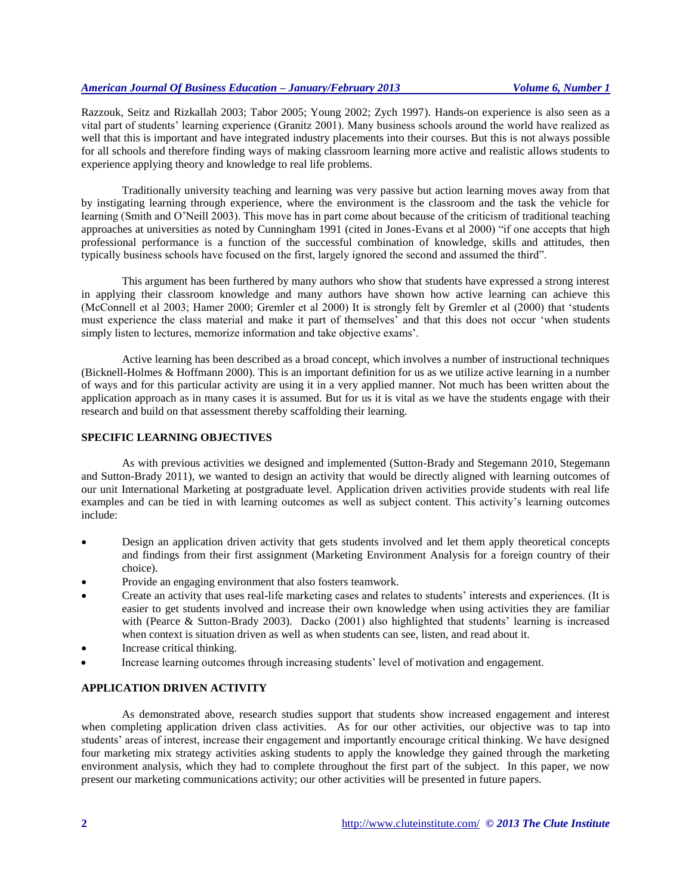Razzouk, Seitz and Rizkallah 2003; Tabor 2005; Young 2002; Zych 1997). Hands-on experience is also seen as a vital part of students' learning experience (Granitz 2001). Many business schools around the world have realized as well that this is important and have integrated industry placements into their courses. But this is not always possible for all schools and therefore finding ways of making classroom learning more active and realistic allows students to experience applying theory and knowledge to real life problems.

Traditionally university teaching and learning was very passive but action learning moves away from that by instigating learning through experience, where the environment is the classroom and the task the vehicle for learning (Smith and O'Neill 2003). This move has in part come about because of the criticism of traditional teaching approaches at universities as noted by Cunningham 1991 (cited in Jones-Evans et al 2000) "if one accepts that high professional performance is a function of the successful combination of knowledge, skills and attitudes, then typically business schools have focused on the first, largely ignored the second and assumed the third".

This argument has been furthered by many authors who show that students have expressed a strong interest in applying their classroom knowledge and many authors have shown how active learning can achieve this (McConnell et al 2003; Hamer 2000; Gremler et al 2000) It is strongly felt by Gremler et al (2000) that 'students must experience the class material and make it part of themselves' and that this does not occur 'when students simply listen to lectures, memorize information and take objective exams'.

Active learning has been described as a broad concept, which involves a number of instructional techniques (Bicknell-Holmes & Hoffmann 2000). This is an important definition for us as we utilize active learning in a number of ways and for this particular activity are using it in a very applied manner. Not much has been written about the application approach as in many cases it is assumed. But for us it is vital as we have the students engage with their research and build on that assessment thereby scaffolding their learning.

#### **SPECIFIC LEARNING OBJECTIVES**

As with previous activities we designed and implemented (Sutton-Brady and Stegemann 2010, Stegemann and Sutton-Brady 2011), we wanted to design an activity that would be directly aligned with learning outcomes of our unit International Marketing at postgraduate level. Application driven activities provide students with real life examples and can be tied in with learning outcomes as well as subject content. This activity's learning outcomes include:

- Design an application driven activity that gets students involved and let them apply theoretical concepts and findings from their first assignment (Marketing Environment Analysis for a foreign country of their choice).
- Provide an engaging environment that also fosters teamwork.
- Create an activity that uses real-life marketing cases and relates to students' interests and experiences. (It is easier to get students involved and increase their own knowledge when using activities they are familiar with (Pearce & Sutton-Brady 2003). Dacko (2001) also highlighted that students' learning is increased when context is situation driven as well as when students can see, listen, and read about it.
- Increase critical thinking.
- Increase learning outcomes through increasing students' level of motivation and engagement.

#### **APPLICATION DRIVEN ACTIVITY**

As demonstrated above, research studies support that students show increased engagement and interest when completing application driven class activities. As for our other activities, our objective was to tap into students' areas of interest, increase their engagement and importantly encourage critical thinking. We have designed four marketing mix strategy activities asking students to apply the knowledge they gained through the marketing environment analysis, which they had to complete throughout the first part of the subject. In this paper, we now present our marketing communications activity; our other activities will be presented in future papers.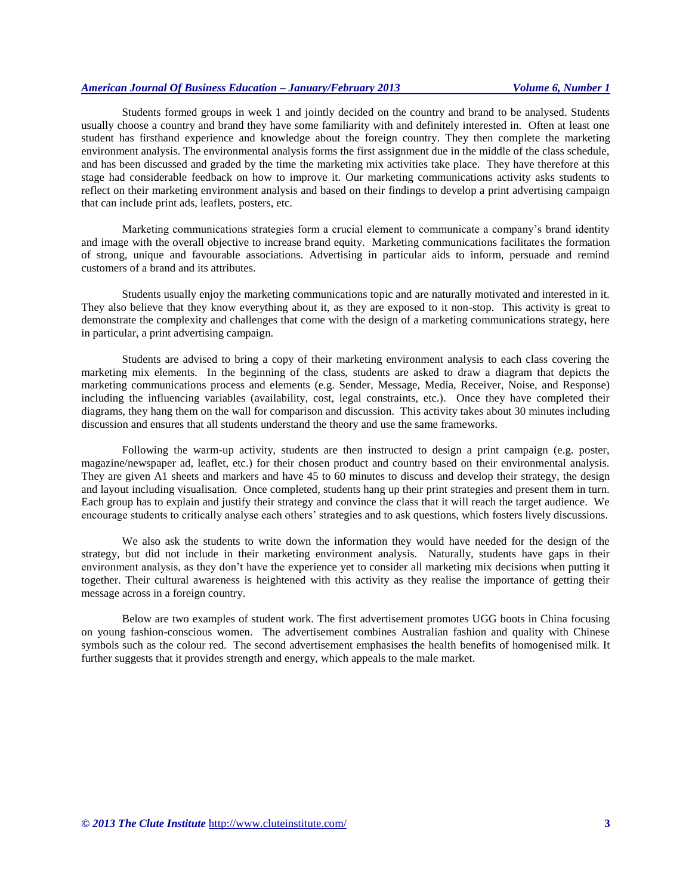## *American Journal Of Business Education – January/February 2013 Volume 6, Number 1*

Students formed groups in week 1 and jointly decided on the country and brand to be analysed. Students usually choose a country and brand they have some familiarity with and definitely interested in. Often at least one student has firsthand experience and knowledge about the foreign country. They then complete the marketing environment analysis. The environmental analysis forms the first assignment due in the middle of the class schedule, and has been discussed and graded by the time the marketing mix activities take place. They have therefore at this stage had considerable feedback on how to improve it. Our marketing communications activity asks students to reflect on their marketing environment analysis and based on their findings to develop a print advertising campaign that can include print ads, leaflets, posters, etc.

Marketing communications strategies form a crucial element to communicate a company's brand identity and image with the overall objective to increase brand equity. Marketing communications facilitates the formation of strong, unique and favourable associations. Advertising in particular aids to inform, persuade and remind customers of a brand and its attributes.

Students usually enjoy the marketing communications topic and are naturally motivated and interested in it. They also believe that they know everything about it, as they are exposed to it non-stop. This activity is great to demonstrate the complexity and challenges that come with the design of a marketing communications strategy, here in particular, a print advertising campaign.

Students are advised to bring a copy of their marketing environment analysis to each class covering the marketing mix elements. In the beginning of the class, students are asked to draw a diagram that depicts the marketing communications process and elements (e.g. Sender, Message, Media, Receiver, Noise, and Response) including the influencing variables (availability, cost, legal constraints, etc.). Once they have completed their diagrams, they hang them on the wall for comparison and discussion. This activity takes about 30 minutes including discussion and ensures that all students understand the theory and use the same frameworks.

Following the warm-up activity, students are then instructed to design a print campaign (e.g. poster, magazine/newspaper ad, leaflet, etc.) for their chosen product and country based on their environmental analysis. They are given A1 sheets and markers and have 45 to 60 minutes to discuss and develop their strategy, the design and layout including visualisation. Once completed, students hang up their print strategies and present them in turn. Each group has to explain and justify their strategy and convince the class that it will reach the target audience. We encourage students to critically analyse each others' strategies and to ask questions, which fosters lively discussions.

We also ask the students to write down the information they would have needed for the design of the strategy, but did not include in their marketing environment analysis. Naturally, students have gaps in their environment analysis, as they don't have the experience yet to consider all marketing mix decisions when putting it together. Their cultural awareness is heightened with this activity as they realise the importance of getting their message across in a foreign country.

Below are two examples of student work. The first advertisement promotes UGG boots in China focusing on young fashion-conscious women. The advertisement combines Australian fashion and quality with Chinese symbols such as the colour red. The second advertisement emphasises the health benefits of homogenised milk. It further suggests that it provides strength and energy, which appeals to the male market.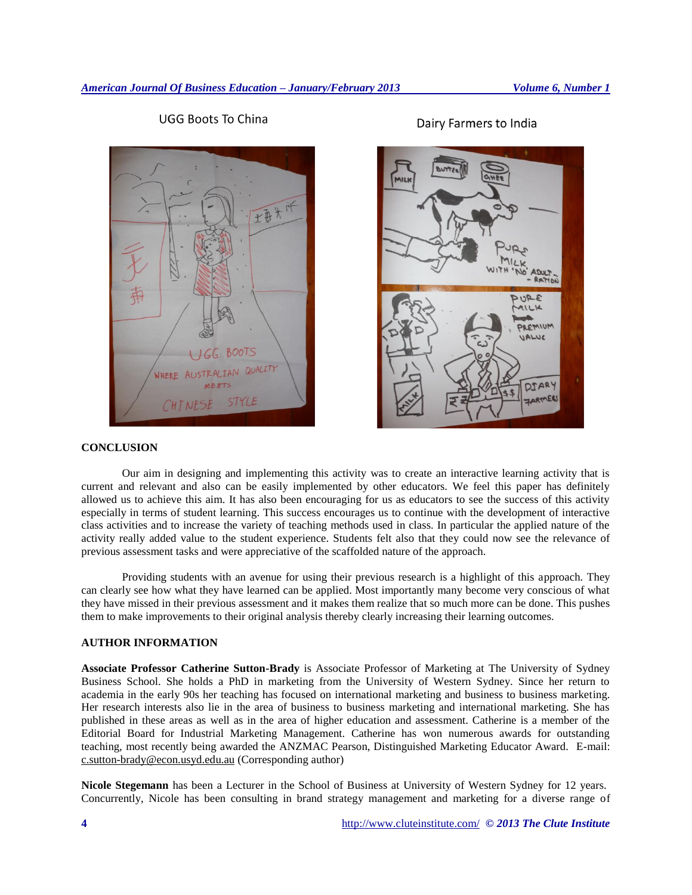**UGG Boots To China** 

BOOTS **NHERE AUSTRALIAN** MEETS STYLE HINESE



## **CONCLUSION**

Our aim in designing and implementing this activity was to create an interactive learning activity that is current and relevant and also can be easily implemented by other educators. We feel this paper has definitely allowed us to achieve this aim. It has also been encouraging for us as educators to see the success of this activity especially in terms of student learning. This success encourages us to continue with the development of interactive class activities and to increase the variety of teaching methods used in class. In particular the applied nature of the activity really added value to the student experience. Students felt also that they could now see the relevance of previous assessment tasks and were appreciative of the scaffolded nature of the approach.

Providing students with an avenue for using their previous research is a highlight of this approach. They can clearly see how what they have learned can be applied. Most importantly many become very conscious of what they have missed in their previous assessment and it makes them realize that so much more can be done. This pushes them to make improvements to their original analysis thereby clearly increasing their learning outcomes.

## **AUTHOR INFORMATION**

**Associate Professor Catherine Sutton-Brady** is Associate Professor of Marketing at The University of Sydney Business School. She holds a PhD in marketing from the University of Western Sydney. Since her return to academia in the early 90s her teaching has focused on international marketing and business to business marketing. Her research interests also lie in the area of business to business marketing and international marketing. She has published in these areas as well as in the area of higher education and assessment. Catherine is a member of the Editorial Board for Industrial Marketing Management. Catherine has won numerous awards for outstanding teaching, most recently being awarded the ANZMAC Pearson, Distinguished Marketing Educator Award. E-mail: [c.sutton-brady@econ.usyd.edu.au](mailto:c.sutton-brady@econ.usyd.edu.au) (Corresponding author)

**Nicole Stegemann** has been a Lecturer in the School of Business at University of Western Sydney for 12 years. Concurrently, Nicole has been consulting in brand strategy management and marketing for a diverse range of

Dairy Farmers to India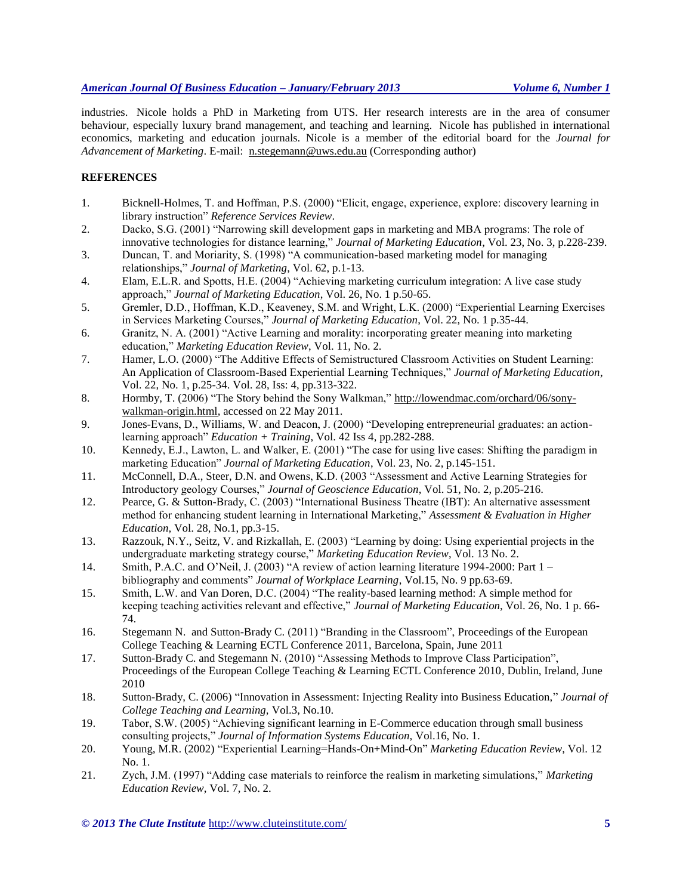## *American Journal Of Business Education – January/February 2013 Volume 6, Number 1*

industries. Nicole holds a PhD in Marketing from UTS. Her research interests are in the area of consumer behaviour, especially luxury brand management, and teaching and learning. Nicole has published in international economics, marketing and education journals. Nicole is a member of the editorial board for the *Journal for Advancement of Marketing*. E-mail: [n.stegemann@uws.edu.au](mailto:n.stegemann@uws.edu.au) (Corresponding author)

## **REFERENCES**

- 1. Bicknell-Holmes, T. and Hoffman, P.S. (2000) "Elicit, engage, experience, explore: discovery learning in library instruction" *Reference Services Review*.
- 2. Dacko, S.G. (2001) "Narrowing skill development gaps in marketing and MBA programs: The role of innovative technologies for distance learning," *Journal of Marketing Education*, Vol. 23, No. 3, p.228-239.
- 3. Duncan, T. and Moriarity, S. (1998) "A communication-based marketing model for managing relationships," *Journal of Marketing*, Vol. 62, p.1-13.
- 4. Elam, E.L.R. and Spotts, H.E. (2004) "Achieving marketing curriculum integration: A live case study approach," *Journal of Marketing Education*, Vol. 26, No. 1 p.50-65.
- 5. Gremler, D.D., Hoffman, K.D., Keaveney, S.M. and Wright, L.K. (2000) "Experiential Learning Exercises in Services Marketing Courses," *Journal of Marketing Education*, Vol. 22, No. 1 p.35-44.
- 6. Granitz, N. A. (2001) "Active Learning and morality: incorporating greater meaning into marketing education," *Marketing Education Review*, Vol. 11, No. 2.
- 7. Hamer, L.O. (2000) "The Additive Effects of Semistructured Classroom Activities on Student Learning: An Application of Classroom-Based Experiential Learning Techniques," *Journal of Marketing Education*, Vol. 22, No. 1, p.25-34. Vol. 28, Iss: 4, pp.313-322.
- 8. Hormby, T. (2006) "The Story behind the Sony Walkman," http://lowendmac.com/orchard/06/sonywalkman-origin.html, accessed on 22 May 2011.
- 9. Jones-Evans, D., Williams, W. and Deacon, J. (2000) "Developing entrepreneurial graduates: an actionlearning approach" *Education + Training*, Vol. 42 Iss 4, pp.282-288.
- 10. Kennedy, E.J., Lawton, L. and Walker, E. (2001) "The case for using live cases: Shifting the paradigm in marketing Education" *Journal of Marketing Education*, Vol. 23, No. 2, p.145-151.
- 11. McConnell, D.A., Steer, D.N. and Owens, K.D. (2003 "Assessment and Active Learning Strategies for Introductory geology Courses," *Journal of Geoscience Education*, Vol. 51, No. 2, p.205-216.
- 12. Pearce, G. & Sutton-Brady, C. (2003) "International Business Theatre (IBT): An alternative assessment method for enhancing student learning in International Marketing," *Assessment & Evaluation in Higher Education*, Vol. 28, No.1, pp.3-15.
- 13. Razzouk, N.Y., Seitz, V. and Rizkallah, E. (2003) "Learning by doing: Using experiential projects in the undergraduate marketing strategy course," *Marketing Education Review*, Vol. 13 No. 2.
- 14. Smith, P.A.C. and O'Neil, J. (2003) "A review of action learning literature 1994-2000: Part 1 bibliography and comments" *Journal of Workplace Learning*, Vol.15, No. 9 pp.63-69.
- 15. Smith, L.W. and Van Doren, D.C. (2004) "The reality-based learning method: A simple method for keeping teaching activities relevant and effective," *Journal of Marketing Education*, Vol. 26, No. 1 p. 66- 74.
- 16. Stegemann N. and Sutton-Brady C. (2011) "Branding in the Classroom", Proceedings of the European College Teaching & Learning ECTL Conference 2011, Barcelona, Spain, June 2011
- 17. Sutton-Brady C. and Stegemann N. (2010) "Assessing Methods to Improve Class Participation", Proceedings of the European College Teaching & Learning ECTL Conference 2010, Dublin, Ireland, June 2010
- 18. Sutton-Brady, C. (2006) "Innovation in Assessment: Injecting Reality into Business Education," *Journal of College Teaching and Learning,* Vol.3, No.10.
- 19. Tabor, S.W. (2005) "Achieving significant learning in E-Commerce education through small business consulting projects," *Journal of Information Systems Education,* Vol.16, No. 1.
- 20. Young, M.R. (2002) "Experiential Learning=Hands-On+Mind-On" *Marketing Education Review*, Vol. 12 No. 1.
- 21. Zych, J.M. (1997) "Adding case materials to reinforce the realism in marketing simulations," *Marketing Education Review*, Vol. 7, No. 2.

*© 2013 The Clute Institute* http://www.cluteinstitute.com/ **5**